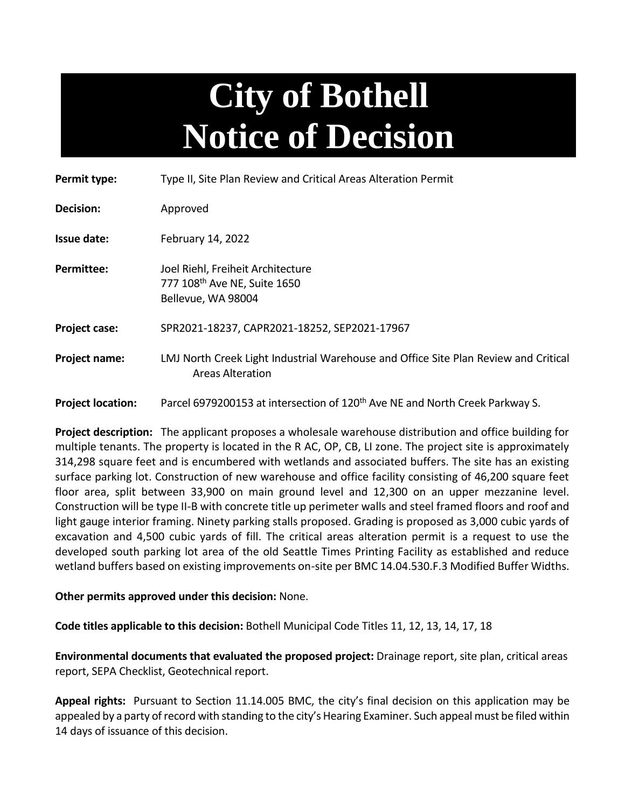## **City of Bothell Notice of Decision**

| Permit type:             | Type II, Site Plan Review and Critical Areas Alteration Permit                                                 |
|--------------------------|----------------------------------------------------------------------------------------------------------------|
| Decision:                | Approved                                                                                                       |
| Issue date:              | February 14, 2022                                                                                              |
| Permittee:               | Joel Riehl, Freiheit Architecture<br>777 108 <sup>th</sup> Ave NE, Suite 1650<br>Bellevue, WA 98004            |
| Project case:            | SPR2021-18237, CAPR2021-18252, SEP2021-17967                                                                   |
| Project name:            | LMJ North Creek Light Industrial Warehouse and Office Site Plan Review and Critical<br><b>Areas Alteration</b> |
| <b>Project location:</b> | Parcel 6979200153 at intersection of 120 <sup>th</sup> Ave NE and North Creek Parkway S.                       |

**Project description:** The applicant proposes a wholesale warehouse distribution and office building for multiple tenants. The property is located in the R AC, OP, CB, LI zone. The project site is approximately 314,298 square feet and is encumbered with wetlands and associated buffers. The site has an existing surface parking lot. Construction of new warehouse and office facility consisting of 46,200 square feet floor area, split between 33,900 on main ground level and 12,300 on an upper mezzanine level. Construction will be type II-B with concrete title up perimeter walls and steel framed floors and roof and light gauge interior framing. Ninety parking stalls proposed. Grading is proposed as 3,000 cubic yards of excavation and 4,500 cubic yards of fill. The critical areas alteration permit is a request to use the developed south parking lot area of the old Seattle Times Printing Facility as established and reduce wetland buffers based on existing improvements on-site per BMC 14.04.530.F.3 Modified Buffer Widths.

## **Other permits approved under this decision:** None.

**Code titles applicable to this decision:** Bothell Municipal Code Titles 11, 12, 13, 14, 17, 18

**Environmental documents that evaluated the proposed project:** Drainage report, site plan, critical areas report, SEPA Checklist, Geotechnical report.

**Appeal rights:** Pursuant to Section 11.14.005 BMC, the city's final decision on this application may be appealed by a party of record with standing to the city's Hearing Examiner. Such appeal must be filed within 14 days of issuance of this decision.